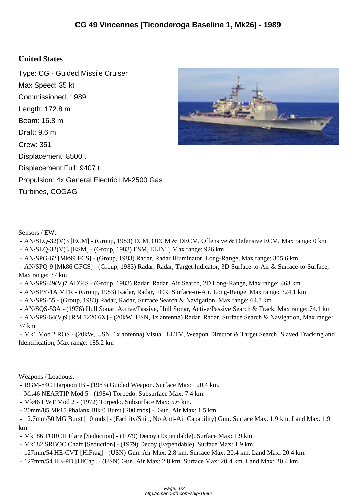## **United States**

Type: CG - Guided Missile Cruiser Max Speed: 35 kt Commissioned: 1989 Length: 172.8 m Beam: 16.8 m Draft: 9.6 m Crew: 351 Displacement: 8500 t Displacement Full: 9407 t Propulsion: 4x General Electric LM-2500 Gas Turbines, COGAG



Sensors / EW:

- AN/SLQ-32(V)3 [ECM] - (Group, 1983) ECM, OECM & DECM, Offensive & Defensive ECM, Max range: 0 km

- AN/SLQ-32(V)3 [ESM] - (Group, 1983) ESM, ELINT, Max range: 926 km

- AN/SPG-62 [Mk99 FCS] - (Group, 1983) Radar, Radar Illuminator, Long-Range, Max range: 305.6 km

 - AN/SPQ-9 [Mk86 GFCS] - (Group, 1983) Radar, Radar, Target Indicator, 3D Surface-to-Air & Surface-to-Surface, Max range: 37 km

- AN/SPS-49(V)7 AEGIS - (Group, 1983) Radar, Radar, Air Search, 2D Long-Range, Max range: 463 km

- AN/SPY-1A MFR - (Group, 1983) Radar, Radar, FCR, Surface-to-Air, Long-Range, Max range: 324.1 km

- AN/SPS-55 - (Group, 1983) Radar, Radar, Surface Search & Navigation, Max range: 64.8 km

 - AN/SQS-53A - (1976) Hull Sonar, Active/Passive, Hull Sonar, Active/Passive Search & Track, Max range: 74.1 km - AN/SPS-64(V)9 [RM 1220 6X] - (20kW, USN, 1x antenna) Radar, Radar, Surface Search & Navigation, Max range:

37 km

 - Mk1 Mod 2 ROS - (20kW, USN, 1x antenna) Visual, LLTV, Weapon Director & Target Search, Slaved Tracking and Identification, Max range: 185.2 km

Weapons / Loadouts:

- RGM-84C Harpoon IB - (1983) Guided Weapon. Surface Max: 120.4 km.

- Mk46 NEARTIP Mod 5 - (1984) Torpedo. Subsurface Max: 7.4 km.

- Mk46 LWT Mod 2 - (1972) Torpedo. Subsurface Max: 5.6 km.

- 20mm/85 Mk15 Phalanx Blk 0 Burst [200 rnds] - Gun. Air Max: 1.5 km.

 - 12.7mm/50 MG Burst [10 rnds] - (Facility/Ship, No Anti-Air Capability) Gun. Surface Max: 1.9 km. Land Max: 1.9 km.

- Mk186 TORCH Flare [Seduction] - (1979) Decoy (Expendable). Surface Max: 1.9 km.

- Mk182 SRBOC Chaff [Seduction] - (1979) Decoy (Expendable). Surface Max: 1.9 km.

- 127mm/54 HE-CVT [HiFrag] - (USN) Gun. Air Max: 2.8 km. Surface Max: 20.4 km. Land Max: 20.4 km.

- 127mm/54 HE-PD [HiCap] - (USN) Gun. Air Max: 2.8 km. Surface Max: 20.4 km. Land Max: 20.4 km.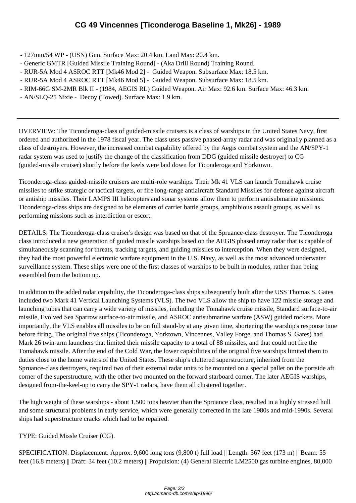- 127mm/54 WP ([USN\) Gun. Surface Max: 20.4 km. Land Max: 20.4 km.](http://cmano-db.com/ship/1996/)
- Generic GMTR [Guided Missile Training Round] (Aka Drill Round) Training Round.
- RUR-5A Mod 4 ASROC RTT [Mk46 Mod 2] Guided Weapon. Subsurface Max: 18.5 km.
- RUR-5A Mod 4 ASROC RTT [Mk46 Mod 5] Guided Weapon. Subsurface Max: 18.5 km.
- RIM-66G SM-2MR Blk II (1984, AEGIS RL) Guided Weapon. Air Max: 92.6 km. Surface Max: 46.3 km.
- AN/SLQ-25 Nixie Decoy (Towed). Surface Max: 1.9 km.

OVERVIEW: The Ticonderoga-class of guided-missile cruisers is a class of warships in the United States Navy, first ordered and authorized in the 1978 fiscal year. The class uses passive phased-array radar and was originally planned as a class of destroyers. However, the increased combat capability offered by the Aegis combat system and the AN/SPY-1 radar system was used to justify the change of the classification from DDG (guided missile destroyer) to CG (guided-missile cruiser) shortly before the keels were laid down for Ticonderoga and Yorktown.

Ticonderoga-class guided-missile cruisers are multi-role warships. Their Mk 41 VLS can launch Tomahawk cruise missiles to strike strategic or tactical targets, or fire long-range antiaircraft Standard Missiles for defense against aircraft or antiship missiles. Their LAMPS III helicopters and sonar systems allow them to perform antisubmarine missions. Ticonderoga-class ships are designed to be elements of carrier battle groups, amphibious assault groups, as well as performing missions such as interdiction or escort.

DETAILS: The Ticonderoga-class cruiser's design was based on that of the Spruance-class destroyer. The Ticonderoga class introduced a new generation of guided missile warships based on the AEGIS phased array radar that is capable of simultaneously scanning for threats, tracking targets, and guiding missiles to interception. When they were designed, they had the most powerful electronic warfare equipment in the U.S. Navy, as well as the most advanced underwater surveillance system. These ships were one of the first classes of warships to be built in modules, rather than being assembled from the bottom up.

In addition to the added radar capability, the Ticonderoga-class ships subsequently built after the USS Thomas S. Gates included two Mark 41 Vertical Launching Systems (VLS). The two VLS allow the ship to have 122 missile storage and launching tubes that can carry a wide variety of missiles, including the Tomahawk cruise missile, Standard surface-to-air missile, Evolved Sea Sparrow surface-to-air missile, and ASROC antisubmarine warfare (ASW) guided rockets. More importantly, the VLS enables all missiles to be on full stand-by at any given time, shortening the warship's response time before firing. The original five ships (Ticonderoga, Yorktown, Vincennes, Valley Forge, and Thomas S. Gates) had Mark 26 twin-arm launchers that limited their missile capacity to a total of 88 missiles, and that could not fire the Tomahawk missile. After the end of the Cold War, the lower capabilities of the original five warships limited them to duties close to the home waters of the United States. These ship's cluttered superstructure, inherited from the Spruance-class destroyers, required two of their external radar units to be mounted on a special pallet on the portside aft corner of the superstructure, with the other two mounted on the forward starboard corner. The later AEGIS warships, designed from-the-keel-up to carry the SPY-1 radars, have them all clustered together.

The high weight of these warships - about 1,500 tons heavier than the Spruance class, resulted in a highly stressed hull and some structural problems in early service, which were generally corrected in the late 1980s and mid-1990s. Several ships had superstructure cracks which had to be repaired.

TYPE: Guided Missle Cruiser (CG).

SPECIFICATION: Displacement: Approx. 9,600 long tons (9,800 t) full load || Length: 567 feet (173 m) || Beam: 55 feet (16.8 meters) || Draft: 34 feet (10.2 meters) || Propulsion: (4) General Electric LM2500 gas turbine engines, 80,000